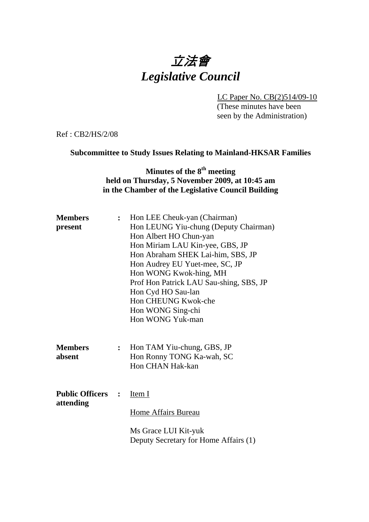# 立法會 *Legislative Council*

LC Paper No. CB(2)514/09-10 (These minutes have been

seen by the Administration)

Ref : CB2/HS/2/08

#### **Subcommittee to Study Issues Relating to Mainland-HKSAR Families**

## **Minutes of the 8th meeting held on Thursday, 5 November 2009, at 10:45 am in the Chamber of the Legislative Council Building**

| <b>Members</b><br>present             | $\ddot{\cdot}$ | Hon LEE Cheuk-yan (Chairman)<br>Hon LEUNG Yiu-chung (Deputy Chairman)<br>Hon Albert HO Chun-yan<br>Hon Miriam LAU Kin-yee, GBS, JP<br>Hon Abraham SHEK Lai-him, SBS, JP<br>Hon Audrey EU Yuet-mee, SC, JP<br>Hon WONG Kwok-hing, MH<br>Prof Hon Patrick LAU Sau-shing, SBS, JP<br>Hon Cyd HO Sau-lan<br>Hon CHEUNG Kwok-che<br>Hon WONG Sing-chi<br>Hon WONG Yuk-man |
|---------------------------------------|----------------|----------------------------------------------------------------------------------------------------------------------------------------------------------------------------------------------------------------------------------------------------------------------------------------------------------------------------------------------------------------------|
| <b>Members</b><br>absent              | $\ddot{\cdot}$ | Hon TAM Yiu-chung, GBS, JP<br>Hon Ronny TONG Ka-wah, SC<br>Hon CHAN Hak-kan                                                                                                                                                                                                                                                                                          |
| <b>Public Officers :</b><br>attending |                | Item I<br>Home Affairs Bureau<br>Ms Grace LUI Kit-yuk<br>Deputy Secretary for Home Affairs (1)                                                                                                                                                                                                                                                                       |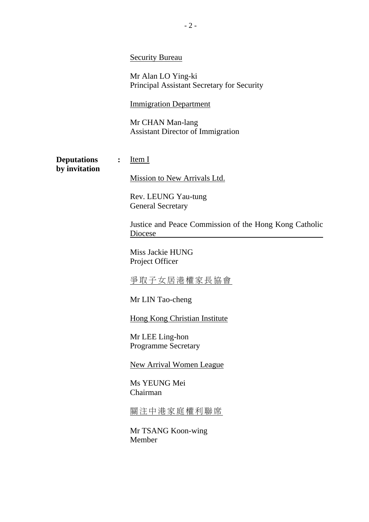|                                     |                | <b>Security Bureau</b><br>Mr Alan LO Ying-ki<br>Principal Assistant Secretary for Security                                                                                                                                                                                                                                                                                                                                                  |
|-------------------------------------|----------------|---------------------------------------------------------------------------------------------------------------------------------------------------------------------------------------------------------------------------------------------------------------------------------------------------------------------------------------------------------------------------------------------------------------------------------------------|
|                                     |                | <b>Immigration Department</b><br>Mr CHAN Man-lang<br><b>Assistant Director of Immigration</b>                                                                                                                                                                                                                                                                                                                                               |
| <b>Deputations</b><br>by invitation | $\ddot{\cdot}$ | Item I<br>Mission to New Arrivals Ltd.<br>Rev. LEUNG Yau-tung<br><b>General Secretary</b><br>Justice and Peace Commission of the Hong Kong Catholic<br>Diocese<br>Miss Jackie HUNG<br>Project Officer<br><u>爭取子女居港權家長協會</u><br>Mr LIN Tao-cheng<br><b>Hong Kong Christian Institute</b><br>Mr LEE Ling-hon<br><b>Programme Secretary</b><br><b>New Arrival Women League</b><br>Ms YEUNG Mei<br>Chairman<br>關注中港家庭權利聯席<br>Mr TSANG Koon-wing |
|                                     |                | Member                                                                                                                                                                                                                                                                                                                                                                                                                                      |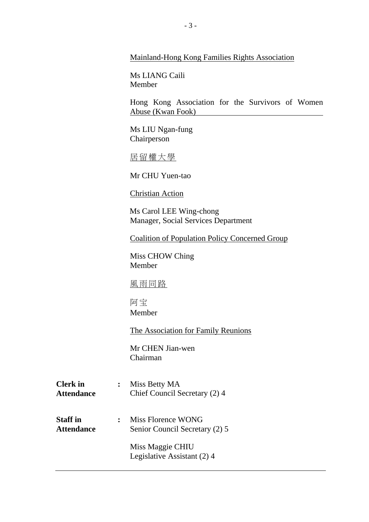| Mainland-Hong Kong Families Rights Association |  |  |
|------------------------------------------------|--|--|
|                                                |  |  |

Ms LIANG Caili Member

Hong Kong Association for the Survivors of Women Abuse (Kwan Fook)

Ms LIU Ngan-fung Chairperson

居留權大學

Mr CHU Yuen-tao

Christian Action

Ms Carol LEE Wing-chong Manager, Social Services Department

**Coalition of Population Policy Concerned Group** 

Miss CHOW Ching Member

風雨同路

阿宝 Member

**The Association for Family Reunions** 

Mr CHEN Jian-wen Chairman

| <b>Clerk</b> in   | : Miss Betty MA               |
|-------------------|-------------------------------|
| <b>Attendance</b> | Chief Council Secretary (2) 4 |

**Staff in :** Miss Florence WONG Attendance Senior Council Secretary (2) 5

> Miss Maggie CHIU Legislative Assistant (2) 4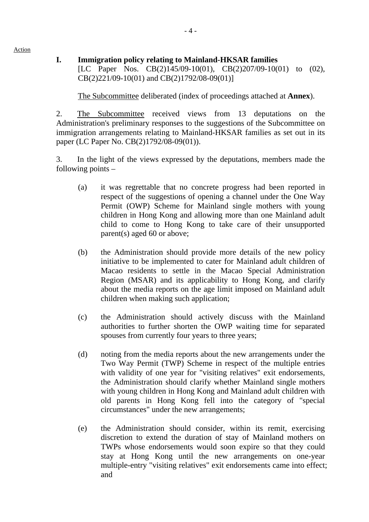Action

### **I. Immigration policy relating to Mainland-HKSAR families**  [LC Paper Nos. CB(2)145/09-10(01), CB(2)207/09-10(01) to (02), CB(2)221/09-10(01) and CB(2)1792/08-09(01)]

1. The Subcommittee deliberated (index of proceedings attached at **Annex**).

2. The Subcommittee received views from 13 deputations on the Administration's preliminary responses to the suggestions of the Subcommittee on immigration arrangements relating to Mainland-HKSAR families as set out in its paper (LC Paper No. CB(2)1792/08-09(01)).

3. In the light of the views expressed by the deputations, members made the following points –

- (a) it was regrettable that no concrete progress had been reported in respect of the suggestions of opening a channel under the One Way Permit (OWP) Scheme for Mainland single mothers with young children in Hong Kong and allowing more than one Mainland adult child to come to Hong Kong to take care of their unsupported parent(s) aged 60 or above;
- (b) the Administration should provide more details of the new policy initiative to be implemented to cater for Mainland adult children of Macao residents to settle in the Macao Special Administration Region (MSAR) and its applicability to Hong Kong, and clarify about the media reports on the age limit imposed on Mainland adult children when making such application;
- (c) the Administration should actively discuss with the Mainland authorities to further shorten the OWP waiting time for separated spouses from currently four years to three years;
- (d) noting from the media reports about the new arrangements under the Two Way Permit (TWP) Scheme in respect of the multiple entries with validity of one year for "visiting relatives" exit endorsements, the Administration should clarify whether Mainland single mothers with young children in Hong Kong and Mainland adult children with old parents in Hong Kong fell into the category of "special circumstances" under the new arrangements;
- (e) the Administration should consider, within its remit, exercising discretion to extend the duration of stay of Mainland mothers on TWPs whose endorsements would soon expire so that they could stay at Hong Kong until the new arrangements on one-year multiple-entry "visiting relatives" exit endorsements came into effect; and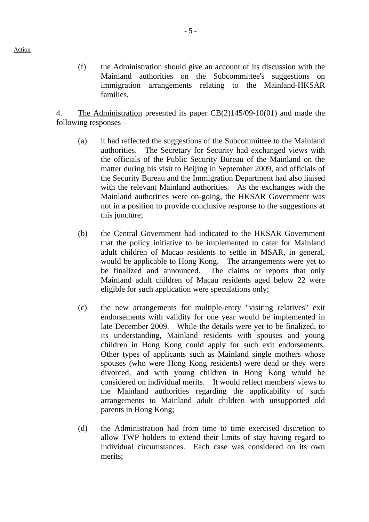(f) the Administration should give an account of its discussion with the Mainland authorities on the Subcommittee's suggestions on immigration arrangements relating to the Mainland-HKSAR families.

4. The Administration presented its paper CB(2)145/09-10(01) and made the following responses –

- (a) it had reflected the suggestions of the Subcommittee to the Mainland authorities. The Secretary for Security had exchanged views with the officials of the Public Security Bureau of the Mainland on the matter during his visit to Beijing in September 2009, and officials of the Security Bureau and the Immigration Department had also liaised with the relevant Mainland authorities. As the exchanges with the Mainland authorities were on-going, the HKSAR Government was not in a position to provide conclusive response to the suggestions at this juncture:
- (b) the Central Government had indicated to the HKSAR Government that the policy initiative to be implemented to cater for Mainland adult children of Macao residents to settle in MSAR, in general, would be applicable to Hong Kong. The arrangements were yet to be finalized and announced. The claims or reports that only Mainland adult children of Macau residents aged below 22 were eligible for such application were speculations only;
- (c) the new arrangements for multiple-entry "visiting relatives" exit endorsements with validity for one year would be implemented in late December 2009. While the details were yet to be finalized, to its understanding, Mainland residents with spouses and young children in Hong Kong could apply for such exit endorsements. Other types of applicants such as Mainland single mothers whose spouses (who were Hong Kong residents) were dead or they were divorced, and with young children in Hong Kong would be considered on individual merits. It would reflect members' views to the Mainland authorities regarding the applicability of such arrangements to Mainland adult children with unsupported old parents in Hong Kong;
- (d) the Administration had from time to time exercised discretion to allow TWP holders to extend their limits of stay having regard to individual circumstances. Each case was considered on its own merits;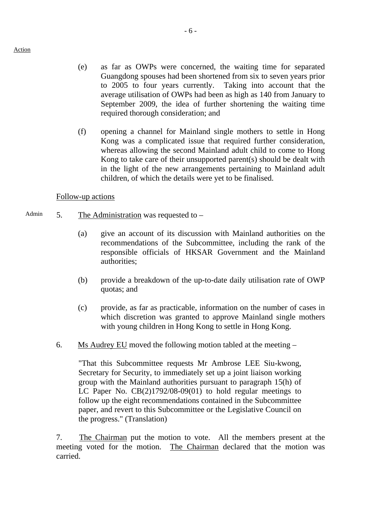- (e) as far as OWPs were concerned, the waiting time for separated Guangdong spouses had been shortened from six to seven years prior to 2005 to four years currently. Taking into account that the average utilisation of OWPs had been as high as 140 from January to September 2009, the idea of further shortening the waiting time required thorough consideration; and
- (f) opening a channel for Mainland single mothers to settle in Hong Kong was a complicated issue that required further consideration, whereas allowing the second Mainland adult child to come to Hong Kong to take care of their unsupported parent(s) should be dealt with in the light of the new arrangements pertaining to Mainland adult children, of which the details were yet to be finalised.

#### Follow-up actions

- Admin  $5.$  The Administration was requested to  $-$ 
	- (a) give an account of its discussion with Mainland authorities on the recommendations of the Subcommittee, including the rank of the responsible officials of HKSAR Government and the Mainland authorities;
	- (b) provide a breakdown of the up-to-date daily utilisation rate of OWP quotas; and
	- (c) provide, as far as practicable, information on the number of cases in which discretion was granted to approve Mainland single mothers with young children in Hong Kong to settle in Hong Kong.
	- 6. Ms Audrey EU moved the following motion tabled at the meeting –

"That this Subcommittee requests Mr Ambrose LEE Siu-kwong, Secretary for Security, to immediately set up a joint liaison working group with the Mainland authorities pursuant to paragraph 15(h) of LC Paper No. CB(2)1792/08-09(01) to hold regular meetings to follow up the eight recommendations contained in the Subcommittee paper, and revert to this Subcommittee or the Legislative Council on the progress." (Translation)

7. The Chairman put the motion to vote. All the members present at the meeting voted for the motion. The Chairman declared that the motion was carried.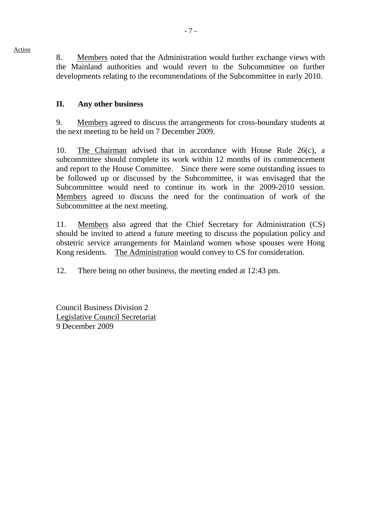8. Members noted that the Administration would further exchange views with the Mainland authorities and would revert to the Subcommittee on further developments relating to the recommendations of the Subcommittee in early 2010.

#### **II. Any other business**

9. Members agreed to discuss the arrangements for cross-boundary students at the next meeting to be held on 7 December 2009.

10. The Chairman advised that in accordance with House Rule 26(c), a subcommittee should complete its work within 12 months of its commencement and report to the House Committee. Since there were some outstanding issues to be followed up or discussed by the Subcommittee, it was envisaged that the Subcommittee would need to continue its work in the 2009-2010 session. Members agreed to discuss the need for the continuation of work of the Subcommittee at the next meeting.

11. Members also agreed that the Chief Secretary for Administration (CS) should be invited to attend a future meeting to discuss the population policy and obstetric service arrangements for Mainland women whose spouses were Hong Kong residents. The Administration would convey to CS for consideration.

12. There being no other business, the meeting ended at 12:43 pm.

Council Business Division 2 Legislative Council Secretariat 9 December 2009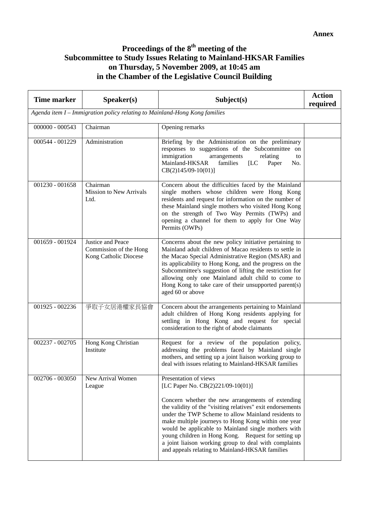#### **Proceedings of the 8th meeting of the Subcommittee to Study Issues Relating to Mainland-HKSAR Families on Thursday, 5 November 2009, at 10:45 am in the Chamber of the Legislative Council Building**

| <b>Time marker</b>                                                         | Speaker(s)                                                           | Subject(s)                                                                                                                                                                                                                                                                                                                                                                                                                                                                                                            | <b>Action</b><br>required |  |  |
|----------------------------------------------------------------------------|----------------------------------------------------------------------|-----------------------------------------------------------------------------------------------------------------------------------------------------------------------------------------------------------------------------------------------------------------------------------------------------------------------------------------------------------------------------------------------------------------------------------------------------------------------------------------------------------------------|---------------------------|--|--|
| Agenda item I - Immigration policy relating to Mainland-Hong Kong families |                                                                      |                                                                                                                                                                                                                                                                                                                                                                                                                                                                                                                       |                           |  |  |
| $000000 - 000543$                                                          | Chairman                                                             | Opening remarks                                                                                                                                                                                                                                                                                                                                                                                                                                                                                                       |                           |  |  |
| 000544 - 001229                                                            | Administration                                                       | Briefing by the Administration on the preliminary<br>responses to suggestions of the Subcommittee on<br>immigration<br>arrangements<br>relating<br>to<br>Mainland-HKSAR<br>families<br>[LC]<br>Paper<br>No.<br>$CB(2)145/09-10(01)]$                                                                                                                                                                                                                                                                                  |                           |  |  |
| 001230 - 001658                                                            | Chairman<br><b>Mission to New Arrivals</b><br>Ltd.                   | Concern about the difficulties faced by the Mainland<br>single mothers whose children were Hong Kong<br>residents and request for information on the number of<br>these Mainland single mothers who visited Hong Kong<br>on the strength of Two Way Permits (TWPs) and<br>opening a channel for them to apply for One Way<br>Permits (OWPs)                                                                                                                                                                           |                           |  |  |
| 001659 - 001924                                                            | Justice and Peace<br>Commission of the Hong<br>Kong Catholic Diocese | Concerns about the new policy initiative pertaining to<br>Mainland adult children of Macao residents to settle in<br>the Macao Special Administrative Region (MSAR) and<br>its applicability to Hong Kong, and the progress on the<br>Subcommittee's suggestion of lifting the restriction for<br>allowing only one Mainland adult child to come to<br>Hong Kong to take care of their unsupported parent(s)<br>aged 60 or above                                                                                      |                           |  |  |
| 001925 - 002236                                                            | 爭取子女居港權家長協會                                                          | Concern about the arrangements pertaining to Mainland<br>adult children of Hong Kong residents applying for<br>settling in Hong Kong and request for special<br>consideration to the right of abode claimants                                                                                                                                                                                                                                                                                                         |                           |  |  |
| 002237 - 002705                                                            | Hong Kong Christian<br>Institute                                     | Request for a review of the population policy,<br>addressing the problems faced by Mainland single<br>mothers, and setting up a joint liaison working group to<br>deal with issues relating to Mainland-HKSAR families                                                                                                                                                                                                                                                                                                |                           |  |  |
| 002706 - 003050                                                            | New Arrival Women<br>League                                          | Presentation of views<br>[LC Paper No. CB(2)221/09-10(01)]<br>Concern whether the new arrangements of extending<br>the validity of the "visiting relatives" exit endorsements<br>under the TWP Scheme to allow Mainland residents to<br>make multiple journeys to Hong Kong within one year<br>would be applicable to Mainland single mothers with<br>young children in Hong Kong. Request for setting up<br>a joint liaison working group to deal with complaints<br>and appeals relating to Mainland-HKSAR families |                           |  |  |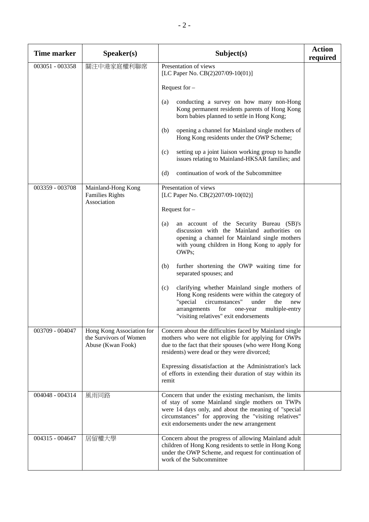| <b>Time marker</b> | Speaker(s)                                                               | Subject(s)                                                                                                                                                                                                                                                               | <b>Action</b><br>required |
|--------------------|--------------------------------------------------------------------------|--------------------------------------------------------------------------------------------------------------------------------------------------------------------------------------------------------------------------------------------------------------------------|---------------------------|
| 003051 - 003358    | 關注中港家庭權利聯席                                                               | Presentation of views<br>[LC Paper No. CB(2)207/09-10(01)]                                                                                                                                                                                                               |                           |
|                    |                                                                          | Request for $-$                                                                                                                                                                                                                                                          |                           |
|                    |                                                                          | conducting a survey on how many non-Hong<br>(a)<br>Kong permanent residents parents of Hong Kong<br>born babies planned to settle in Hong Kong;                                                                                                                          |                           |
|                    |                                                                          | (b)<br>opening a channel for Mainland single mothers of<br>Hong Kong residents under the OWP Scheme;                                                                                                                                                                     |                           |
|                    |                                                                          | setting up a joint liaison working group to handle<br>(c)<br>issues relating to Mainland-HKSAR families; and                                                                                                                                                             |                           |
|                    |                                                                          | continuation of work of the Subcommittee<br>(d)                                                                                                                                                                                                                          |                           |
| 003359 - 003708    | Mainland-Hong Kong<br><b>Families Rights</b><br>Association              | Presentation of views<br>[LC Paper No. CB(2)207/09-10(02)]                                                                                                                                                                                                               |                           |
|                    |                                                                          | Request for $-$                                                                                                                                                                                                                                                          |                           |
|                    |                                                                          | an account of the Security Bureau (SB)'s<br>(a)<br>discussion with the Mainland authorities on<br>opening a channel for Mainland single mothers<br>with young children in Hong Kong to apply for<br>OWPs;                                                                |                           |
|                    |                                                                          | further shortening the OWP waiting time for<br>(b)<br>separated spouses; and                                                                                                                                                                                             |                           |
|                    |                                                                          | clarifying whether Mainland single mothers of<br>(c)<br>Hong Kong residents were within the category of<br>"special<br>circumstances"<br>the<br>under<br>new<br>multiple-entry<br>arrangements<br>for<br>one-year<br>"visiting relatives" exit endorsements              |                           |
| 003709 - 004047    | Hong Kong Association for<br>the Survivors of Women<br>Abuse (Kwan Fook) | Concern about the difficulties faced by Mainland single<br>mothers who were not eligible for applying for OWPs<br>due to the fact that their spouses (who were Hong Kong<br>residents) were dead or they were divorced;                                                  |                           |
|                    |                                                                          | Expressing dissatisfaction at the Administration's lack<br>of efforts in extending their duration of stay within its<br>remit                                                                                                                                            |                           |
| 004048 - 004314    | 風雨同路                                                                     | Concern that under the existing mechanism, the limits<br>of stay of some Mainland single mothers on TWPs<br>were 14 days only, and about the meaning of "special<br>circumstances" for approving the "visiting relatives"<br>exit endorsements under the new arrangement |                           |
| 004315 - 004647    | 居留權大學                                                                    | Concern about the progress of allowing Mainland adult<br>children of Hong Kong residents to settle in Hong Kong<br>under the OWP Scheme, and request for continuation of<br>work of the Subcommittee                                                                     |                           |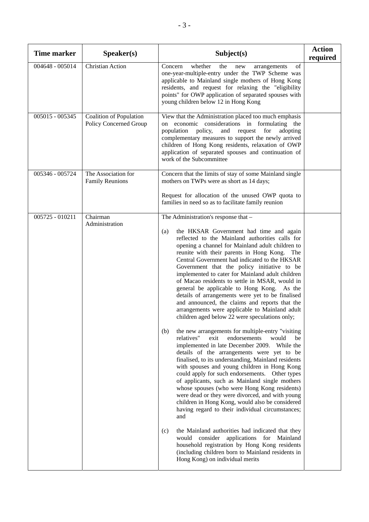| <b>Time marker</b> | Speaker(s)                                               | Subject(s)                                                                                                                                                                                                                                                                                                                                                                                                                                                                                                                                                                                                                                                                                                                                                                                                                                                                                                                                                                                                                                                                                                                                                                                                                                                                                                                                                                                                                                                                                                                                                                                             | <b>Action</b><br>required |
|--------------------|----------------------------------------------------------|--------------------------------------------------------------------------------------------------------------------------------------------------------------------------------------------------------------------------------------------------------------------------------------------------------------------------------------------------------------------------------------------------------------------------------------------------------------------------------------------------------------------------------------------------------------------------------------------------------------------------------------------------------------------------------------------------------------------------------------------------------------------------------------------------------------------------------------------------------------------------------------------------------------------------------------------------------------------------------------------------------------------------------------------------------------------------------------------------------------------------------------------------------------------------------------------------------------------------------------------------------------------------------------------------------------------------------------------------------------------------------------------------------------------------------------------------------------------------------------------------------------------------------------------------------------------------------------------------------|---------------------------|
| 004648 - 005014    | <b>Christian Action</b>                                  | whether<br>of<br>Concern<br>the<br>new<br>arrangements<br>one-year-multiple-entry under the TWP Scheme was<br>applicable to Mainland single mothers of Hong Kong<br>residents, and request for relaxing the "eligibility<br>points" for OWP application of separated spouses with<br>young children below 12 in Hong Kong                                                                                                                                                                                                                                                                                                                                                                                                                                                                                                                                                                                                                                                                                                                                                                                                                                                                                                                                                                                                                                                                                                                                                                                                                                                                              |                           |
| 005015 - 005345    | <b>Coalition of Population</b><br>Policy Concerned Group | View that the Administration placed too much emphasis<br>on economic considerations in formulating the<br>policy,<br>for<br>population<br>and<br>request<br>adopting<br>complementary measures to support the newly arrived<br>children of Hong Kong residents, relaxation of OWP<br>application of separated spouses and continuation of<br>work of the Subcommittee                                                                                                                                                                                                                                                                                                                                                                                                                                                                                                                                                                                                                                                                                                                                                                                                                                                                                                                                                                                                                                                                                                                                                                                                                                  |                           |
| 005346 - 005724    | The Association for<br><b>Family Reunions</b>            | Concern that the limits of stay of some Mainland single<br>mothers on TWPs were as short as 14 days;<br>Request for allocation of the unused OWP quota to<br>families in need so as to facilitate family reunion                                                                                                                                                                                                                                                                                                                                                                                                                                                                                                                                                                                                                                                                                                                                                                                                                                                                                                                                                                                                                                                                                                                                                                                                                                                                                                                                                                                       |                           |
| $005725 - 010211$  | Chairman<br>Administration                               | The Administration's response that -<br>the HKSAR Government had time and again<br>(a)<br>reflected to the Mainland authorities calls for<br>opening a channel for Mainland adult children to<br>reunite with their parents in Hong Kong. The<br>Central Government had indicated to the HKSAR<br>Government that the policy initiative to be<br>implemented to cater for Mainland adult children<br>of Macao residents to settle in MSAR, would in<br>general be applicable to Hong Kong. As the<br>details of arrangements were yet to be finalised<br>and announced, the claims and reports that the<br>arrangements were applicable to Mainland adult<br>children aged below 22 were speculations only;<br>the new arrangements for multiple-entry "visiting<br>(b)<br>relatives"<br>exit<br>endorsements<br>would<br>be<br>implemented in late December 2009. While the<br>details of the arrangements were yet to be<br>finalised, to its understanding, Mainland residents<br>with spouses and young children in Hong Kong<br>could apply for such endorsements. Other types<br>of applicants, such as Mainland single mothers<br>whose spouses (who were Hong Kong residents)<br>were dead or they were divorced, and with young<br>children in Hong Kong, would also be considered<br>having regard to their individual circumstances;<br>and<br>the Mainland authorities had indicated that they<br>(c)<br>would consider applications for Mainland<br>household registration by Hong Kong residents<br>(including children born to Mainland residents in<br>Hong Kong) on individual merits |                           |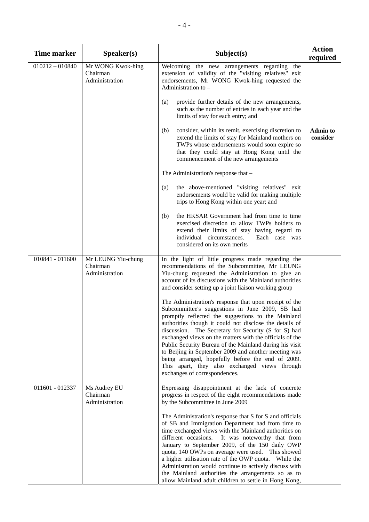| <b>Time marker</b> | Speaker(s)                                       | Subject(s)                                                                                                                                                                                                                                                                                                                                                                                                                                                                                                                                                                                               | <b>Action</b><br>required   |
|--------------------|--------------------------------------------------|----------------------------------------------------------------------------------------------------------------------------------------------------------------------------------------------------------------------------------------------------------------------------------------------------------------------------------------------------------------------------------------------------------------------------------------------------------------------------------------------------------------------------------------------------------------------------------------------------------|-----------------------------|
| $010212 - 010840$  | Mr WONG Kwok-hing<br>Chairman<br>Administration  | Welcoming the new arrangements regarding<br>the<br>extension of validity of the "visiting relatives" exit<br>endorsements, Mr WONG Kwok-hing requested the<br>Administration to -<br>provide further details of the new arrangements,<br>(a)<br>such as the number of entries in each year and the<br>limits of stay for each entry; and                                                                                                                                                                                                                                                                 |                             |
|                    |                                                  | consider, within its remit, exercising discretion to<br>(b)<br>extend the limits of stay for Mainland mothers on<br>TWPs whose endorsements would soon expire so<br>that they could stay at Hong Kong until the<br>commencement of the new arrangements                                                                                                                                                                                                                                                                                                                                                  | <b>Admin to</b><br>consider |
|                    |                                                  | The Administration's response that -                                                                                                                                                                                                                                                                                                                                                                                                                                                                                                                                                                     |                             |
|                    |                                                  | the above-mentioned "visiting relatives" exit<br>(a)<br>endorsements would be valid for making multiple<br>trips to Hong Kong within one year; and                                                                                                                                                                                                                                                                                                                                                                                                                                                       |                             |
|                    |                                                  | the HKSAR Government had from time to time<br>(b)<br>exercised discretion to allow TWPs holders to<br>extend their limits of stay having regard to<br>individual circumstances.<br>Each case was<br>considered on its own merits                                                                                                                                                                                                                                                                                                                                                                         |                             |
| 010841 - 011600    | Mr LEUNG Yiu-chung<br>Chairman<br>Administration | In the light of little progress made regarding the<br>recommendations of the Subcommittee, Mr LEUNG<br>Yiu-chung requested the Administration to give an<br>account of its discussions with the Mainland authorities<br>and consider setting up a joint liaison working group                                                                                                                                                                                                                                                                                                                            |                             |
|                    |                                                  | The Administration's response that upon receipt of the<br>Subcommittee's suggestions in June 2009, SB had<br>promptly reflected the suggestions to the Mainland<br>authorities though it could not disclose the details of<br>discussion. The Secretary for Security (S for S) had<br>exchanged views on the matters with the officials of the<br>Public Security Bureau of the Mainland during his visit<br>to Beijing in September 2009 and another meeting was<br>being arranged, hopefully before the end of 2009.<br>This apart, they also exchanged views through<br>exchanges of correspondences. |                             |
| 011601 - 012337    | Ms Audrey EU<br>Chairman<br>Administration       | Expressing disappointment at the lack of concrete<br>progress in respect of the eight recommendations made<br>by the Subcommittee in June 2009                                                                                                                                                                                                                                                                                                                                                                                                                                                           |                             |
|                    |                                                  | The Administration's response that S for S and officials<br>of SB and Immigration Department had from time to<br>time exchanged views with the Mainland authorities on<br>different occasions.<br>It was noteworthy that from<br>January to September 2009, of the 150 daily OWP<br>quota, 140 OWPs on average were used. This showed<br>a higher utilisation rate of the OWP quota. While the<br>Administration would continue to actively discuss with<br>the Mainland authorities the arrangements so as to<br>allow Mainland adult children to settle in Hong Kong,                                  |                             |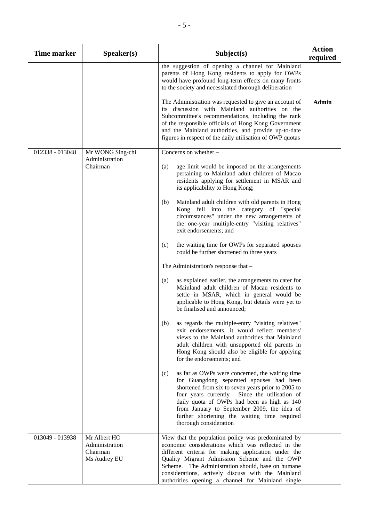| <b>Time marker</b> | Speaker(s)                                                 | Subject(s)                                                                                                                                                                                                                                                                                                                                                                                                                                                                                                                                                                                                                                                                                                                                                                                                                                                                                                                                                                                                                                                                                                                                                                                                                                                                                                                                                                                                                                                                                                                                    | <b>Action</b><br>required |
|--------------------|------------------------------------------------------------|-----------------------------------------------------------------------------------------------------------------------------------------------------------------------------------------------------------------------------------------------------------------------------------------------------------------------------------------------------------------------------------------------------------------------------------------------------------------------------------------------------------------------------------------------------------------------------------------------------------------------------------------------------------------------------------------------------------------------------------------------------------------------------------------------------------------------------------------------------------------------------------------------------------------------------------------------------------------------------------------------------------------------------------------------------------------------------------------------------------------------------------------------------------------------------------------------------------------------------------------------------------------------------------------------------------------------------------------------------------------------------------------------------------------------------------------------------------------------------------------------------------------------------------------------|---------------------------|
|                    |                                                            | the suggestion of opening a channel for Mainland<br>parents of Hong Kong residents to apply for OWPs<br>would have profound long-term effects on many fronts<br>to the society and necessitated thorough deliberation<br>The Administration was requested to give an account of<br>its discussion with Mainland authorities on the<br>Subcommittee's recommendations, including the rank<br>of the responsible officials of Hong Kong Government<br>and the Mainland authorities, and provide up-to-date<br>figures in respect of the daily utilisation of OWP quotas                                                                                                                                                                                                                                                                                                                                                                                                                                                                                                                                                                                                                                                                                                                                                                                                                                                                                                                                                                         | <b>Admin</b>              |
| 012338 - 013048    | Mr WONG Sing-chi<br>Administration<br>Chairman             | Concerns on whether -<br>(a)<br>age limit would be imposed on the arrangements<br>pertaining to Mainland adult children of Macao<br>residents applying for settlement in MSAR and<br>its applicability to Hong Kong;<br>Mainland adult children with old parents in Hong<br>(b)<br>Kong fell into the category of "special<br>circumstances" under the new arrangements of<br>the one-year multiple-entry "visiting relatives"<br>exit endorsements; and<br>the waiting time for OWPs for separated spouses<br>(c)<br>could be further shortened to three years<br>The Administration's response that -<br>as explained earlier, the arrangements to cater for<br>(a)<br>Mainland adult children of Macau residents to<br>settle in MSAR, which in general would be<br>applicable to Hong Kong, but details were yet to<br>be finalised and announced;<br>as regards the multiple-entry "visiting relatives"<br>(b)<br>exit endorsements, it would reflect members'<br>views to the Mainland authorities that Mainland<br>adult children with unsupported old parents in<br>Hong Kong should also be eligible for applying<br>for the endorsements; and<br>as far as OWPs were concerned, the waiting time<br>(c)<br>for Guangdong separated spouses had been<br>shortened from six to seven years prior to 2005 to<br>four years currently. Since the utilisation of<br>daily quota of OWPs had been as high as 140<br>from January to September 2009, the idea of<br>further shortening the waiting time required<br>thorough consideration |                           |
| 013049 - 013938    | Mr Albert HO<br>Administration<br>Chairman<br>Ms Audrey EU | View that the population policy was predominated by<br>economic considerations which was reflected in the<br>different criteria for making application under the<br>Quality Migrant Admission Scheme and the OWP<br>Scheme. The Administration should, base on humane<br>considerations, actively discuss with the Mainland<br>authorities opening a channel for Mainland single                                                                                                                                                                                                                                                                                                                                                                                                                                                                                                                                                                                                                                                                                                                                                                                                                                                                                                                                                                                                                                                                                                                                                              |                           |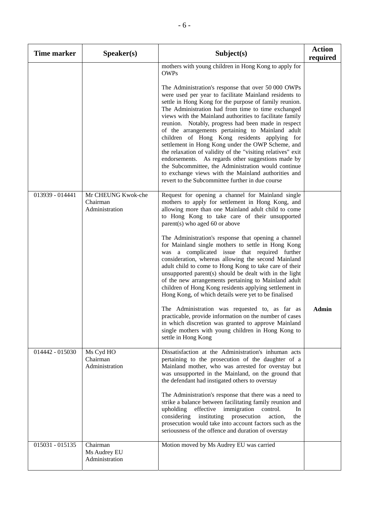| <b>Time marker</b> | S <sub>p</sub> eaker(s)                          | Subject(s)                                                                                                                                                                                                                                                                                                                                                                                                                                                                                                                                                                                                                                                                                                                                                                                                                                                                                                                                                                                                              | <b>Action</b><br>required |
|--------------------|--------------------------------------------------|-------------------------------------------------------------------------------------------------------------------------------------------------------------------------------------------------------------------------------------------------------------------------------------------------------------------------------------------------------------------------------------------------------------------------------------------------------------------------------------------------------------------------------------------------------------------------------------------------------------------------------------------------------------------------------------------------------------------------------------------------------------------------------------------------------------------------------------------------------------------------------------------------------------------------------------------------------------------------------------------------------------------------|---------------------------|
|                    |                                                  | mothers with young children in Hong Kong to apply for<br><b>OWPs</b><br>The Administration's response that over 50 000 OWPs<br>were used per year to facilitate Mainland residents to<br>settle in Hong Kong for the purpose of family reunion.<br>The Administration had from time to time exchanged<br>views with the Mainland authorities to facilitate family<br>reunion. Notably, progress had been made in respect<br>of the arrangements pertaining to Mainland adult<br>children of Hong Kong residents applying for<br>settlement in Hong Kong under the OWP Scheme, and<br>the relaxation of validity of the "visiting relatives" exit<br>endorsements. As regards other suggestions made by<br>the Subcommittee, the Administration would continue<br>to exchange views with the Mainland authorities and<br>revert to the Subcommittee further in due course                                                                                                                                                |                           |
| 013939 - 014441    | Mr CHEUNG Kwok-che<br>Chairman<br>Administration | Request for opening a channel for Mainland single<br>mothers to apply for settlement in Hong Kong, and<br>allowing more than one Mainland adult child to come<br>to Hong Kong to take care of their unsupported<br>parent(s) who aged 60 or above<br>The Administration's response that opening a channel<br>for Mainland single mothers to settle in Hong Kong<br>was a complicated issue that required further<br>consideration, whereas allowing the second Mainland<br>adult child to come to Hong Kong to take care of their<br>unsupported parent(s) should be dealt with in the light<br>of the new arrangements pertaining to Mainland adult<br>children of Hong Kong residents applying settlement in<br>Hong Kong, of which details were yet to be finalised<br>The Administration was requested to, as far as<br>practicable, provide information on the number of cases<br>in which discretion was granted to approve Mainland<br>single mothers with young children in Hong Kong to<br>settle in Hong Kong | <b>Admin</b>              |
| 014442 - 015030    | Ms Cyd HO<br>Chairman<br>Administration          | Dissatisfaction at the Administration's inhuman acts<br>pertaining to the prosecution of the daughter of a<br>Mainland mother, who was arrested for overstay but<br>was unsupported in the Mainland, on the ground that<br>the defendant had instigated others to overstay<br>The Administration's response that there was a need to<br>strike a balance between facilitating family reunion and<br>upholding<br>effective immigration<br>control.<br>In<br>considering<br>instituting<br>prosecution<br>action,<br>the<br>prosecution would take into account factors such as the<br>seriousness of the offence and duration of overstay                                                                                                                                                                                                                                                                                                                                                                               |                           |
| 015031 - 015135    | Chairman<br>Ms Audrey EU<br>Administration       | Motion moved by Ms Audrey EU was carried                                                                                                                                                                                                                                                                                                                                                                                                                                                                                                                                                                                                                                                                                                                                                                                                                                                                                                                                                                                |                           |